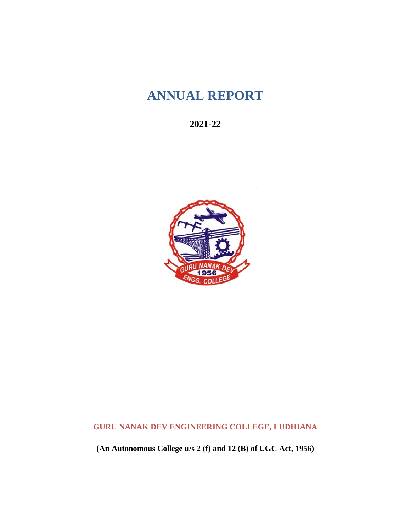# **ANNUAL REPORT**

**2021-22**



**GURU NANAK DEV ENGINEERING COLLEGE, LUDHIANA**

**(An Autonomous College u/s 2 (f) and 12 (B) of UGC Act, 1956)**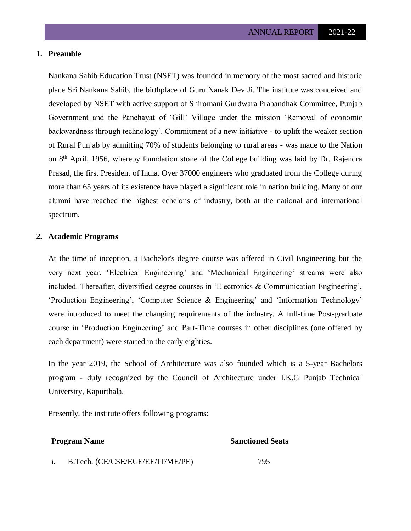## **1. Preamble**

Nankana Sahib Education Trust (NSET) was founded in memory of the most sacred and historic place Sri Nankana Sahib, the birthplace of Guru Nanak Dev Ji. The institute was conceived and developed by NSET with active support of Shiromani Gurdwara Prabandhak Committee, Punjab Government and the Panchayat of 'Gill' Village under the mission 'Removal of economic backwardness through technology'. Commitment of a new initiative - to uplift the weaker section of Rural Punjab by admitting 70% of students belonging to rural areas - was made to the Nation on 8<sup>th</sup> April, 1956, whereby foundation stone of the College building was laid by Dr. Rajendra Prasad, the first President of India. Over 37000 engineers who graduated from the College during more than 65 years of its existence have played a significant role in nation building. Many of our alumni have reached the highest echelons of industry, both at the national and international spectrum.

### **2. Academic Programs**

At the time of inception, a Bachelor's degree course was offered in Civil Engineering but the very next year, 'Electrical Engineering' and 'Mechanical Engineering' streams were also included. Thereafter, diversified degree courses in 'Electronics & Communication Engineering', 'Production Engineering', 'Computer Science & Engineering' and 'Information Technology' were introduced to meet the changing requirements of the industry. A full-time Post-graduate course in 'Production Engineering' and Part-Time courses in other disciplines (one offered by each department) were started in the early eighties.

In the year 2019, the School of Architecture was also founded which is a 5-year Bachelors program - duly recognized by the Council of Architecture under I.K.G Punjab Technical University, Kapurthala.

Presently, the institute offers following programs:

#### **Program Name** Sanctioned Seats

i. B.Tech. (CE/CSE/ECE/EE/IT/ME/PE) 795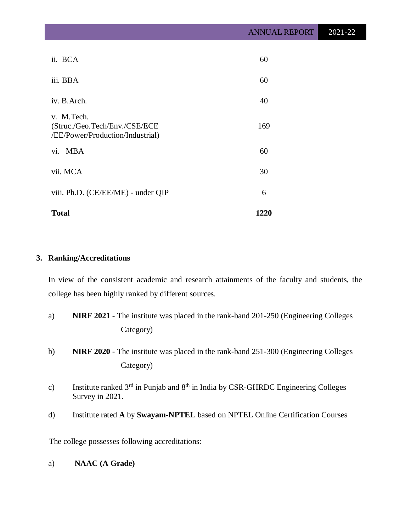| ii. BCA                                                                         | 60   |
|---------------------------------------------------------------------------------|------|
| iii. BBA                                                                        | 60   |
| iv. B.Arch.                                                                     | 40   |
| v. M.Tech.<br>(Struc./Geo.Tech/Env./CSE/ECE<br>/EE/Power/Production/Industrial) | 169  |
| $\mathbf{vi.}$<br><b>MBA</b>                                                    | 60   |
| vii. MCA                                                                        | 30   |
| viii. Ph.D. (CE/EE/ME) - under QIP                                              | 6    |
| <b>Total</b>                                                                    | 1220 |

# **3. Ranking/Accreditations**

In view of the consistent academic and research attainments of the faculty and students, the college has been highly ranked by different sources.

- a) **NIRF 2021** The institute was placed in the rank-band 201-250 (Engineering Colleges Category)
- b) **NIRF 2020** The institute was placed in the rank-band 251-300 (Engineering Colleges Category)
- c) Institute ranked  $3<sup>rd</sup>$  in Punjab and  $8<sup>th</sup>$  in India by CSR-GHRDC Engineering Colleges Survey in 2021.
- d) Institute rated **A** by **Swayam-NPTEL** based on NPTEL Online Certification Courses

The college possesses following accreditations:

a) **NAAC (A Grade)**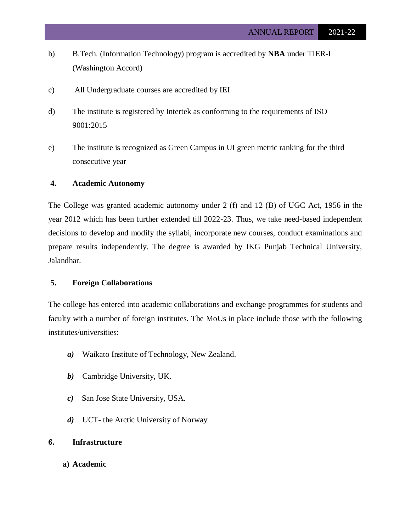- b) B.Tech. (Information Technology) program is accredited by **NBA** under TIER-I (Washington Accord)
- c) All Undergraduate courses are accredited by IEI
- d) The institute is registered by Intertek as conforming to the requirements of ISO 9001:2015
- e) The institute is recognized as Green Campus in UI green metric ranking for the third consecutive year

#### **4. Academic Autonomy**

The College was granted academic autonomy under 2 (f) and 12 (B) of UGC Act, 1956 in the year 2012 which has been further extended till 2022-23. Thus, we take need-based independent decisions to develop and modify the syllabi, incorporate new courses, conduct examinations and prepare results independently. The degree is awarded by IKG Punjab Technical University, Jalandhar.

# **5. Foreign Collaborations**

The college has entered into academic collaborations and exchange programmes for students and faculty with a number of foreign institutes. The MoUs in place include those with the following institutes/universities:

- *a)* Waikato Institute of Technology, New Zealand.
- *b)* Cambridge University, UK.
- *c)* San Jose State University, USA.
- *d)* UCT- the Arctic University of Norway

# **6. Infrastructure**

**a) Academic**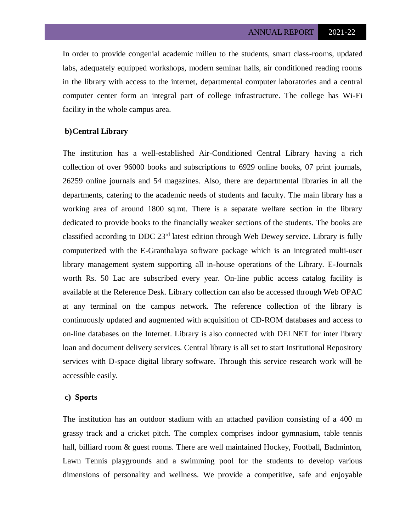In order to provide congenial academic milieu to the students, smart class-rooms, updated labs, adequately equipped workshops, modern seminar halls, air conditioned reading rooms in the library with access to the internet, departmental computer laboratories and a central computer center form an integral part of college infrastructure. The college has Wi-Fi facility in the whole campus area.

#### **b)Central Library**

The institution has a well-established Air-Conditioned Central Library having a rich collection of over 96000 books and subscriptions to 6929 online books, 07 print journals, 26259 online journals and 54 magazines. Also, there are departmental libraries in all the departments, catering to the academic needs of students and faculty. The main library has a working area of around 1800 sq.mt. There is a separate welfare section in the library dedicated to provide books to the financially weaker sections of the students. The books are classified according to DDC 23rd latest edition through Web Dewey service. Library is fully computerized with the E-Granthalaya software package which is an integrated multi-user library management system supporting all in-house operations of the Library. E-Journals worth Rs. 50 Lac are subscribed every year. On-line public access catalog facility is available at the Reference Desk. Library collection can also be accessed through Web OPAC at any terminal on the campus network. The reference collection of the library is continuously updated and augmented with acquisition of CD-ROM databases and access to on-line databases on the Internet. Library is also connected with DELNET for inter library loan and document delivery services. Central library is all set to start Institutional Repository services with D-space digital library software. Through this service research work will be accessible easily.

#### **c) Sports**

The institution has an outdoor stadium with an attached pavilion consisting of a 400 m grassy track and a cricket pitch. The complex comprises indoor gymnasium, table tennis hall, billiard room & guest rooms. There are well maintained Hockey, Football, Badminton, Lawn Tennis playgrounds and a swimming pool for the students to develop various dimensions of personality and wellness. We provide a competitive, safe and enjoyable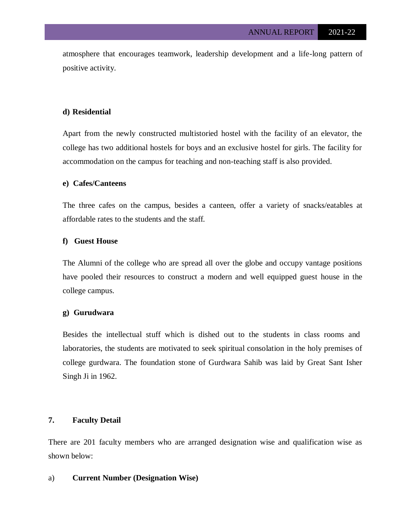atmosphere that encourages teamwork, leadership development and a life-long pattern of positive activity.

# **d) Residential**

Apart from the newly constructed multistoried hostel with the facility of an elevator, the college has two additional hostels for boys and an exclusive hostel for girls. The facility for accommodation on the campus for teaching and non-teaching staff is also provided.

#### **e) Cafes/Canteens**

The three cafes on the campus, besides a canteen, offer a variety of snacks/eatables at affordable rates to the students and the staff.

#### **f) Guest House**

The Alumni of the college who are spread all over the globe and occupy vantage positions have pooled their resources to construct a modern and well equipped guest house in the college campus.

#### **g) Gurudwara**

Besides the intellectual stuff which is dished out to the students in class rooms and laboratories, the students are motivated to seek spiritual consolation in the holy premises of college gurdwara. The foundation stone of Gurdwara Sahib was laid by Great Sant Isher Singh Ji in 1962.

# **7. Faculty Detail**

There are 201 faculty members who are arranged designation wise and qualification wise as shown below:

#### a) **Current Number (Designation Wise)**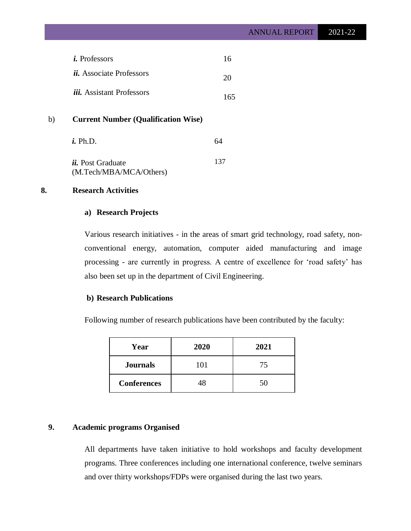| <i>i</i> . Professors            | 16  |
|----------------------------------|-----|
| <i>ii.</i> Associate Professors  | 20  |
| <i>iii.</i> Assistant Professors | 165 |

# b) **Current Number (Qualification Wise)**

| <i>i.</i> Ph.D.                                     | 64  |
|-----------------------------------------------------|-----|
| <i>ii.</i> Post Graduate<br>(M.Tech/MBA/MCA/Others) | 137 |

# **8. Research Activities**

# **a) Research Projects**

Various research initiatives - in the areas of smart grid technology, road safety, nonconventional energy, automation, computer aided manufacturing and image processing - are currently in progress. A centre of excellence for 'road safety' has also been set up in the department of Civil Engineering.

# **b) Research Publications**

Following number of research publications have been contributed by the faculty:

| Year               | 2020 | 2021 |
|--------------------|------|------|
| <b>Journals</b>    | 101  | 75   |
| <b>Conferences</b> |      |      |

# **9. Academic programs Organised**

All departments have taken initiative to hold workshops and faculty development programs. Three conferences including one international conference, twelve seminars and over thirty workshops/FDPs were organised during the last two years.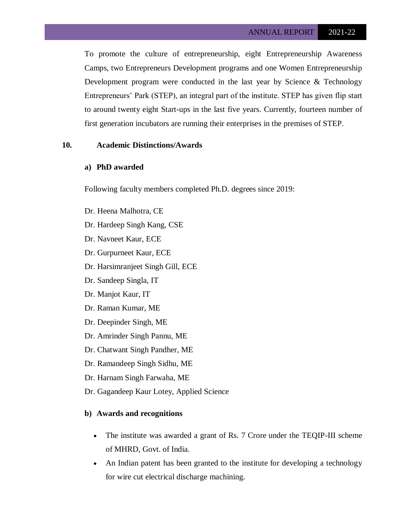To promote the culture of entrepreneurship, eight Entrepreneurship Awareness Camps, two Entrepreneurs Development programs and one Women Entrepreneurship Development program were conducted in the last year by Science & Technology Entrepreneurs' Park (STEP), an integral part of the institute. STEP has given flip start to around twenty eight Start-ups in the last five years. Currently, fourteen number of first generation incubators are running their enterprises in the premises of STEP.

### **10. Academic Distinctions/Awards**

### **a) PhD awarded**

Following faculty members completed Ph.D. degrees since 2019:

- Dr. Heena Malhotra, CE
- Dr. Hardeep Singh Kang, CSE
- Dr. Navneet Kaur, ECE
- Dr. Gurpurneet Kaur, ECE
- Dr. Harsimranjeet Singh Gill, ECE
- Dr. Sandeep Singla, IT
- Dr. Manjot Kaur, IT
- Dr. Raman Kumar, ME
- Dr. Deepinder Singh, ME
- Dr. Amrinder Singh Pannu, ME
- Dr. Chatwant Singh Pandher, ME
- Dr. Ramandeep Singh Sidhu, ME
- Dr. Harnam Singh Farwaha, ME
- Dr. Gagandeep Kaur Lotey, Applied Science

#### **b) Awards and recognitions**

- The institute was awarded a grant of Rs. 7 Crore under the TEQIP-III scheme of MHRD, Govt. of India.
- An Indian patent has been granted to the institute for developing a technology for wire cut electrical discharge machining.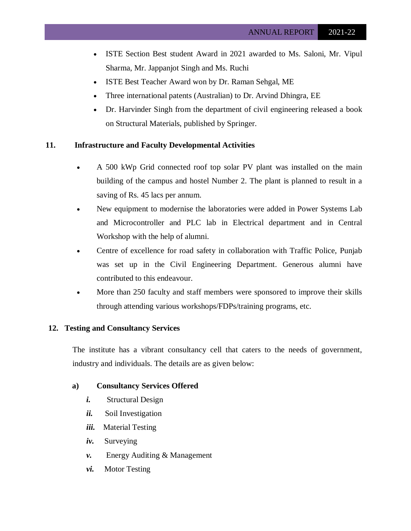- ISTE Section Best student Award in 2021 awarded to Ms. Saloni, Mr. Vipul Sharma, Mr. Jappanjot Singh and Ms. Ruchi
- ISTE Best Teacher Award won by Dr. Raman Sehgal, ME
- Three international patents (Australian) to Dr. Arvind Dhingra, EE
- Dr. Harvinder Singh from the department of civil engineering released a book on Structural Materials, published by Springer.

# **11. Infrastructure and Faculty Developmental Activities**

- A 500 kWp Grid connected roof top solar PV plant was installed on the main building of the campus and hostel Number 2. The plant is planned to result in a saving of Rs. 45 lacs per annum.
- New equipment to modernise the laboratories were added in Power Systems Lab and Microcontroller and PLC lab in Electrical department and in Central Workshop with the help of alumni.
- Centre of excellence for road safety in collaboration with Traffic Police, Punjab was set up in the Civil Engineering Department. Generous alumni have contributed to this endeavour.
- More than 250 faculty and staff members were sponsored to improve their skills through attending various workshops/FDPs/training programs, etc.

### **12. Testing and Consultancy Services**

The institute has a vibrant consultancy cell that caters to the needs of government, industry and individuals. The details are as given below:

### **a) Consultancy Services Offered**

- *i.* Structural Design
- *ii.* Soil Investigation
- *iii.* Material Testing
- *iv.* Surveying
- *v.* Energy Auditing & Management
- *vi.* Motor Testing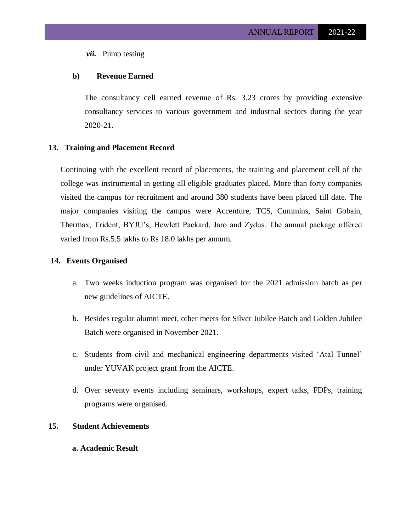*vii.* Pump testing

# **b) Revenue Earned**

The consultancy cell earned revenue of Rs. 3.23 crores by providing extensive consultancy services to various government and industrial sectors during the year 2020-21.

# **13. Training and Placement Record**

Continuing with the excellent record of placements, the training and placement cell of the college was instrumental in getting all eligible graduates placed. More than forty companies visited the campus for recruitment and around 380 students have been placed till date. The major companies visiting the campus were Accenture, TCS, Cummins, Saint Gobain, Thermax, Trident, BYJU's, Hewlett Packard, Jaro and Zydus. The annual package offered varied from Rs.5.5 lakhs to Rs 18.0 lakhs per annum.

### **14. Events Organised**

- a. Two weeks induction program was organised for the 2021 admission batch as per new guidelines of AICTE.
- b. Besides regular alumni meet, other meets for Silver Jubilee Batch and Golden Jubilee Batch were organised in November 2021.
- c. Students from civil and mechanical engineering departments visited 'Atal Tunnel' under YUVAK project grant from the AICTE.
- d. Over seventy events including seminars, workshops, expert talks, FDPs, training programs were organised.

# **15. Student Achievements**

# **a. Academic Result**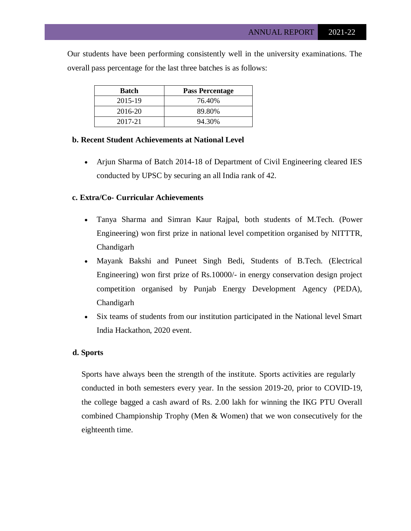Our students have been performing consistently well in the university examinations. The overall pass percentage for the last three batches is as follows:

| Batch   | <b>Pass Percentage</b> |
|---------|------------------------|
| 2015-19 | 76.40%                 |
| 2016-20 | 89.80%                 |
| 2017-21 | 94.30%                 |

### **b. Recent Student Achievements at National Level**

 Arjun Sharma of Batch 2014-18 of Department of Civil Engineering cleared IES conducted by UPSC by securing an all India rank of 42.

#### **c. Extra/Co- Curricular Achievements**

- Tanya Sharma and Simran Kaur Rajpal, both students of M.Tech. (Power Engineering) won first prize in national level competition organised by NITTTR, Chandigarh
- Mayank Bakshi and Puneet Singh Bedi, Students of B.Tech. (Electrical Engineering) won first prize of Rs.10000/- in energy conservation design project competition organised by Punjab Energy Development Agency (PEDA), Chandigarh
- Six teams of students from our institution participated in the National level Smart India Hackathon, 2020 event.

#### **d. Sports**

Sports have always been the strength of the institute. Sports activities are regularly conducted in both semesters every year. In the session 2019-20, prior to COVID-19, the college bagged a cash award of Rs. 2.00 lakh for winning the IKG PTU Overall combined Championship Trophy (Men & Women) that we won consecutively for the eighteenth time.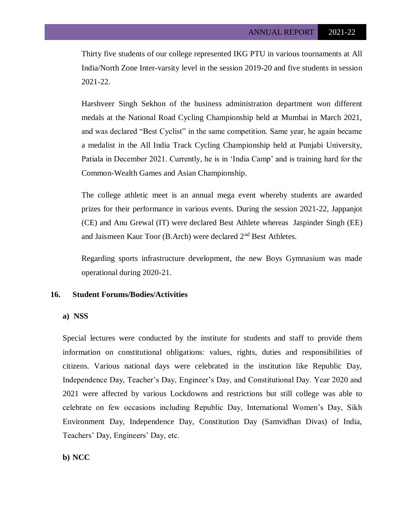Thirty five students of our college represented IKG PTU in various tournaments at All India/North Zone Inter-varsity level in the session 2019-20 and five students in session 2021-22.

Harshveer Singh Sekhon of the business administration department won different medals at the National Road Cycling Championship held at Mumbai in March 2021, and was declared "Best Cyclist" in the same competition. Same year, he again became a medalist in the All India Track Cycling Championship held at Punjabi University, Patiala in December 2021. Currently, he is in 'India Camp' and is training hard for the Common-Wealth Games and Asian Championship.

The college athletic meet is an annual mega event whereby students are awarded prizes for their performance in various events. During the session 2021-22, Jappanjot (CE) and Anu Grewal (IT) were declared Best Athlete whereas Jaspinder Singh (EE) and Jaismeen Kaur Toor (B.Arch) were declared 2nd Best Athletes.

Regarding sports infrastructure development, the new Boys Gymnasium was made operational during 2020-21.

# **16. Student Forums/Bodies/Activities**

#### **a) NSS**

Special lectures were conducted by the institute for students and staff to provide them information on constitutional obligations: values, rights, duties and responsibilities of citizens. Various national days were celebrated in the institution like Republic Day, Independence Day, Teacher's Day, Engineer's Day, and Constitutional Day. Year 2020 and 2021 were affected by various Lockdowns and restrictions but still college was able to celebrate on few occasions including Republic Day, International Women's Day, Sikh Environment Day, Independence Day, Constitution Day (Samvidhan Divas) of India, Teachers' Day, Engineers' Day, etc.

# **b) NCC**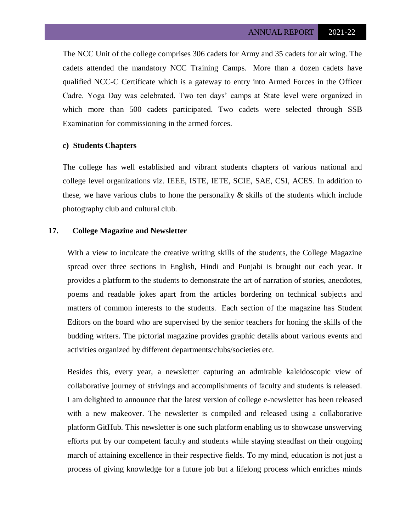The NCC Unit of the college comprises 306 cadets for Army and 35 cadets for air wing. The cadets attended the mandatory NCC Training Camps. More than a dozen cadets have qualified NCC-C Certificate which is a gateway to entry into Armed Forces in the Officer Cadre. Yoga Day was celebrated. Two ten days' camps at State level were organized in which more than 500 cadets participated. Two cadets were selected through SSB Examination for commissioning in the armed forces.

#### **c) Students Chapters**

The college has well established and vibrant students chapters of various national and college level organizations viz. IEEE, ISTE, IETE, SCIE, SAE, CSI, ACES. In addition to these, we have various clubs to hone the personality  $\&$  skills of the students which include photography club and cultural club.

### **17. College Magazine and Newsletter**

With a view to inculcate the creative writing skills of the students, the College Magazine spread over three sections in English, Hindi and Punjabi is brought out each year. It provides a platform to the students to demonstrate the art of narration of stories, anecdotes, poems and readable jokes apart from the articles bordering on technical subjects and matters of common interests to the students. Each section of the magazine has Student Editors on the board who are supervised by the senior teachers for honing the skills of the budding writers. The pictorial magazine provides graphic details about various events and activities organized by different departments/clubs/societies etc.

Besides this, every year, a newsletter capturing an admirable kaleidoscopic view of collaborative journey of strivings and accomplishments of faculty and students is released. I am delighted to announce that the latest version of college e-newsletter has been released with a new makeover. The newsletter is compiled and released using a collaborative platform GitHub. This newsletter is one such platform enabling us to showcase unswerving efforts put by our competent faculty and students while staying steadfast on their ongoing march of attaining excellence in their respective fields. To my mind, education is not just a process of giving knowledge for a future job but a lifelong process which enriches minds